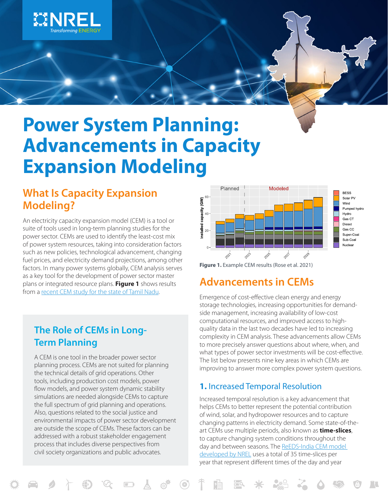

# **Power System Planning: Advancements in Capacity Expansion Modeling**

# **What Is Capacity Expansion Modeling?**

An electricity capacity expansion model (CEM) is a tool or suite of tools used in long-term planning studies for the power sector. CEMs are used to identify the least-cost mix of power system resources, taking into consideration factors such as new policies, technological advancement, changing fuel prices, and electricity demand projections, among other factors. In many power systems globally, CEM analysis serves as a key tool for the development of power sector master plans or integrated resource plans. **Figure 1** shows results from a [recent CEM study for the state of Tamil Nadu.](https://www.nrel.gov/docs/fy21osti/78266.pdf)

# **The Role of CEMs in Long-Term Planning**

A CEM is one tool in the broader power sector planning process. CEMs are not suited for planning the technical details of grid operations. Other tools, including production cost models, power flow models, and power system dynamic stability simulations are needed alongside CEMs to capture the full spectrum of grid planning and operations. Also, questions related to the social justice and environmental impacts of power sector development are outside the scope of CEMs. These factors can be addressed with a robust stakeholder engagement process that includes diverse perspectives from civil society organizations and public advocates.



**Figure 1.** Example CEM results (Rose et al. 2021)

# **Advancements in CEMs**

Emergence of cost-effective clean energy and energy storage technologies, increasing opportunities for demandside management, increasing availability of low-cost computational resources, and improved access to highquality data in the last two decades have led to increasing complexity in CEM analysis. These advancements allow CEMs to more precisely answer questions about where, when, and what types of power sector investments will be cost-effective. The list below presents nine key areas in which CEMs are improving to answer more complex power system questions.

## **1.** Increased Temporal Resolution

Increased temporal resolution is a key advancement that helps CEMs to better represent the potential contribution of wind, solar, and hydropower resources and to capture changing patterns in electricity demand. Some state-of-theart CEMs use multiple periods, also known as **time-slices**, to capture changing system conditions throughout the day and between seasons. The ReEDS-India CEM model [developed by NREL](https://www.nrel.gov/analysis/reeds/) uses a total of 35 time-slices per year that represent different times of the day and year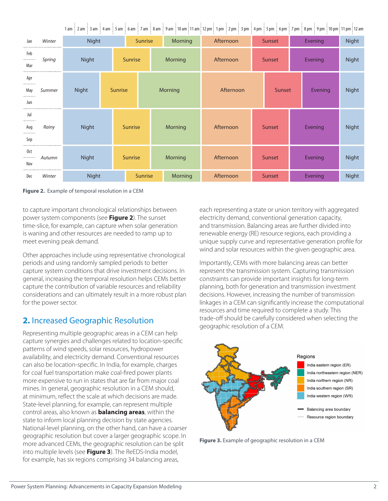|                           |        |              |                |                |         |                |           |               | 1am   2am   3am   4am   5am   6am   7am   8am   9am  10am 11am 12pm  1pm   2pm   3pm   4pm   5pm   6pm   7pm   8pm   9pm   10pm 11pm 12am |         |              |       |  |
|---------------------------|--------|--------------|----------------|----------------|---------|----------------|-----------|---------------|-------------------------------------------------------------------------------------------------------------------------------------------|---------|--------------|-------|--|
| Jan                       | Winter | Night        | Sunrise        |                | Morning | Afternoon      | Sunset    |               | Evening                                                                                                                                   |         | <b>Night</b> |       |  |
| Feb<br><br>Mar<br>.       | Spring | Night        |                | <b>Sunrise</b> |         | Morning        | Afternoon | Sunset        |                                                                                                                                           | Evening |              | Night |  |
| Apr<br><br>May<br><br>Jun | Summer | <b>Night</b> | <b>Sunrise</b> |                |         | Morning        | Afternoon |               | Sunset                                                                                                                                    | Evening |              | Night |  |
| Jul<br><br>Aug<br><br>Sep | Rainy  | Night        |                | <b>Sunrise</b> |         | Morning        | Afternoon | Sunset        |                                                                                                                                           | Evening |              | Night |  |
| 0ct<br><br>Nov            | Autumn | Night        |                | <b>Sunrise</b> |         | Morning        | Afternoon | Sunset        |                                                                                                                                           | Evening |              | Night |  |
| Dec                       | Winter | Night        |                | <b>Sunrise</b> |         | <b>Morning</b> | Afternoon | <b>Sunset</b> |                                                                                                                                           |         | Evening      | Night |  |

**Figure 2.** Example of temporal resolution in a CEM

to capture important chronological relationships between power system components (see **Figure 2**). The sunset time-slice, for example, can capture when solar generation is waning and other resources are needed to ramp up to meet evening peak demand.

Other approaches include using representative chronological periods and using randomly sampled periods to better capture system conditions that drive investment decisions. In general, increasing the temporal resolution helps CEMs better capture the contribution of variable resources and reliability considerations and can ultimately result in a more robust plan for the power sector.

## **2.** Increased Geographic Resolution

Representing multiple geographic areas in a CEM can help capture synergies and challenges related to location-specific patterns of wind speeds, solar resources, hydropower availability, and electricity demand. Conventional resources can also be location-specific. In India, for example, charges for coal fuel transportation make coal-fired power plants more expensive to run in states that are far from major coal mines. In general, geographic resolution in a CEM should, at minimum, reflect the scale at which decisions are made. State-level planning, for example, can represent multiple control areas, also known as **balancing areas**, within the state to inform local planning decision by state agencies. National-level planning, on the other hand, can have a coarser geographic resolution but cover a larger geographic scope. In more advanced CEMs, the geographic resolution can be split into multiple levels (see **Figure 3**). The ReEDS-India model, for example, has six regions comprising 34 balancing areas,

each representing a state or union territory with aggregated electricity demand, conventional generation capacity, and transmission. Balancing areas are further divided into renewable energy (RE) resource regions, each providing a unique supply curve and representative generation profile for wind and solar resources within the given geographic area.

Importantly, CEMs with more balancing areas can better represent the transmission system. Capturing transmission constraints can provide important insights for long-term planning, both for generation and transmission investment decisions. However, increasing the number of transmission linkages in a CEM can significantly increase the computational resources and time required to complete a study. This trade-off should be carefully considered when selecting the geographic resolution of a CEM.



**Figure 3.** Example of geographic resolution in a CEM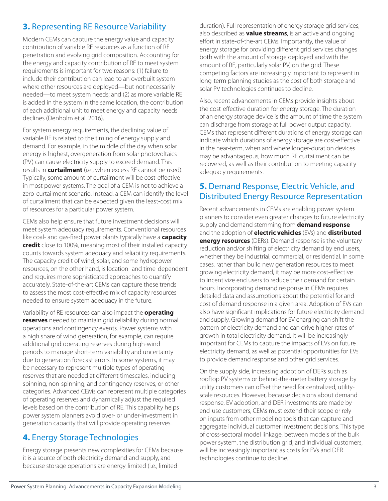## **3.** Representing RE Resource Variability

Modern CEMs can capture the energy value and capacity contribution of variable RE resources as a function of RE penetration and evolving grid composition. Accounting for the energy and capacity contribution of RE to meet system requirements is important for two reasons: (1) failure to include their contribution can lead to an overbuilt system where other resources are deployed—but not necessarily needed—to meet system needs; and (2) as more variable RE is added in the system in the same location, the contribution of each additional unit to meet energy and capacity needs declines (Denholm et al. 2016).

For system energy requirements, the declining value of variable RE is related to the timing of energy supply and demand. For example, in the middle of the day when solar energy is highest, overgeneration from solar photovoltaics (PV) can cause electricity supply to exceed demand. This results in **curtailment** (i.e., when excess RE cannot be used). Typically, some amount of curtailment will be cost-effective in most power systems. The goal of a CEM is not to achieve a zero-curtailment scenario. Instead, a CEM can identify the level of curtailment that can be expected given the least-cost mix of resources for a particular power system.

CEMs also help ensure that future investment decisions will meet system adequacy requirements. Conventional resources like coal- and gas-fired power plants typically have a **capacity credit** close to 100%, meaning most of their installed capacity counts towards system adequacy and reliability requirements. The capacity credit of wind, solar, and some hydropower resources, on the other hand, is location- and time-dependent and requires more sophisticated approaches to quantify accurately. State-of-the-art CEMs can capture these trends to assess the most cost-effective mix of capacity resources needed to ensure system adequacy in the future.

Variability of RE resources can also impact the **operating reserves** needed to maintain grid reliability during normal operations and contingency events. Power systems with a high share of wind generation, for example, can require additional grid operating reserves during high-wind periods to manage short-term variability and uncertainty due to generation forecast errors. In some systems, it may be necessary to represent multiple types of operating reserves that are needed at different timescales, including spinning, non-spinning, and contingency reserves, or other categories. Advanced CEMs can represent multiple categories of operating reserves and dynamically adjust the required levels based on the contribution of RE. This capability helps power system planners avoid over- or under-investment in generation capacity that will provide operating reserves.

# **4.** Energy Storage Technologies

Energy storage presents new complexities for CEMs because it is a source of both electricity demand and supply, and because storage operations are energy-limited (i.e., limited

duration). Full representation of energy storage grid services, also described as **value streams**, is an active and ongoing effort in state-of-the-art CEMs. Importantly, the value of energy storage for providing different grid services changes both with the amount of storage deployed and with the amount of RE, particularly solar PV, on the grid. These competing factors are increasingly important to represent in long-term planning studies as the cost of both storage and solar PV technologies continues to decline.

Also, recent advancements in CEMs provide insights about the cost-effective duration for energy storage. The duration of an energy storage device is the amount of time the system can discharge from storage at full power output capacity. CEMs that represent different durations of energy storage can indicate which durations of energy storage are cost-effective in the near-term, when and where longer-duration devices may be advantageous, how much RE curtailment can be recovered, as well as their contribution to meeting capacity adequacy requirements.

#### **5.** Demand Response, Electric Vehicle, and Distributed Energy Resource Representation

Recent advancements in CEMs are enabling power system planners to consider even greater changes to future electricity supply and demand stemming from **demand response** and the adoption of **electric vehicles** (EVs) and **distributed energy resources** (DERs). Demand response is the voluntary reduction and/or shifting of electricity demand by end users, whether they be industrial, commercial, or residential. In some cases, rather than build new generation resources to meet growing electricity demand, it may be more cost-effective to incentivize end users to reduce their demand for certain hours. Incorporating demand response in CEMs requires detailed data and assumptions about the potential for and cost of demand response in a given area. Adoption of EVs can also have significant implications for future electricity demand and supply. Growing demand for EV charging can shift the pattern of electricity demand and can drive higher rates of growth in total electricity demand. It will be increasingly important for CEMs to capture the impacts of EVs on future electricity demand, as well as potential opportunities for EVs to provide demand response and other grid services.

On the supply side, increasing adoption of DERs such as rooftop PV systems or behind-the-meter battery storage by utility customers can offset the need for centralized, utilityscale resources. However, because decisions about demand response, EV adoption, and DER investments are made by end-use customers, CEMs must extend their scope or rely on inputs from other modeling tools that can capture and aggregate individual customer investment decisions. This type of cross-sectoral model linkage, between models of the bulk power system, the distribution grid, and individual customers, will be increasingly important as costs for EVs and DER technologies continue to decline.